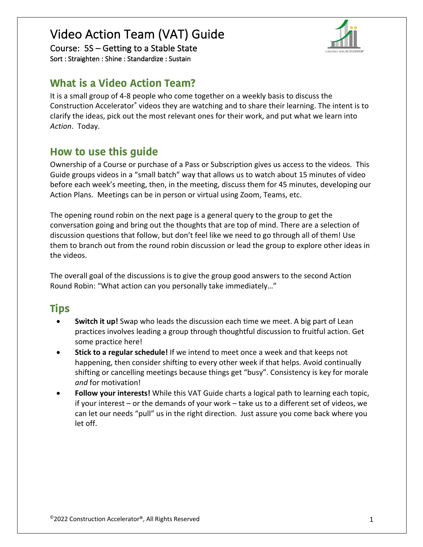# Video Action Team (VAT) Guide

Course: 5S – Getting to a Stable State Sort : Straighten : Shine : Standardize : Sustain



## **What is a Video Action Team?**

It is a small group of 4-8 people who come together on a weekly basis to discuss the Construction Accelerator® videos they are watching and to share their learning. The intent is to clarify the ideas, pick out the most relevant ones for their work, and put what we learn into *Action*. Today.

# **How to use this guide**

Ownership of a Course or purchase of a Pass or Subscription gives us access to the videos. This Guide groups videos in a "small batch" way that allows us to watch about 15 minutes of video before each week's meeting, then, in the meeting, discuss them for 45 minutes, developing our Action Plans. Meetings can be in person or virtual using Zoom, Teams, etc.

The opening round robin on the next page is a general query to the group to get the conversation going and bring out the thoughts that are top of mind. There are a selection of discussion questions that follow, but don't feel like we need to go through all of them! Use them to branch out from the round robin discussion or lead the group to explore other ideas in the videos.

The overall goal of the discussions is to give the group good answers to the second Action Round Robin: "What action can you personally take immediately…"

# **Tips**

- **Switch it up!** Swap who leads the discussion each time we meet. A big part of Lean practices involves leading a group through thoughtful discussion to fruitful action. Get some practice here!
- **Stick to a regular schedule!** If we intend to meet once a week and that keeps not happening, then consider shifting to every other week if that helps. Avoid continually shifting or cancelling meetings because things get "busy". Consistency is key for morale *and* for motivation!
- **Follow your interests!** While this VAT Guide charts a logical path to learning each topic, if your interest – or the demands of your work – take us to a different set of videos, we can let our needs "pull" us in the right direction. Just assure you come back where you let off.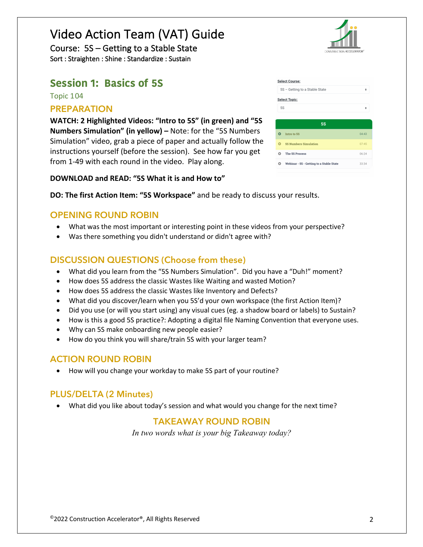# Video Action Team (VAT) Guide

Course: 5S – Getting to a Stable State Sort : Straighten : Shine : Standardize : Sustain

## **Session 1: Basics of 5S**

Topic 104

#### **PREPARATION**

**WATCH: 2 Highlighted Videos: "Intro to 5S" (in green) and "5S Numbers Simulation" (in yellow) –** Note: for the "5S Numbers Simulation" video, grab a piece of paper and actually follow the instructions yourself (before the session). See how far you get from 1-49 with each round in the video. Play along.



| <b>Select Course:</b>          |                                          |       |  |  |
|--------------------------------|------------------------------------------|-------|--|--|
| 5S - Getting to a Stable State |                                          |       |  |  |
| <b>Select Topic:</b>           |                                          |       |  |  |
| <b>5S</b>                      |                                          | ÷     |  |  |
|                                |                                          |       |  |  |
| <b>5S</b>                      |                                          |       |  |  |
| Ω                              | <b>Intro to 5S</b>                       | 04:43 |  |  |
| $\circ$                        | <b>5S Numbers Simulation</b>             | 07.45 |  |  |
| Õ                              | The 5S Process                           | 06:24 |  |  |
| Õ                              | Webinar - 5S - Getting to a Stable State | 33:34 |  |  |

**DOWNLOAD and READ: "5S What it is and How to"**

**DO: The first Action Item: "5S Workspace"** and be ready to discuss your results.

#### **OPENING ROUND ROBIN**

- What was the most important or interesting point in these videos from your perspective?
- Was there something you didn't understand or didn't agree with?

## **DISCUSSION QUESTIONS (Choose from these)**

- What did you learn from the "5S Numbers Simulation". Did you have a "Duh!" moment?
- How does 5S address the classic Wastes like Waiting and wasted Motion?
- How does 5S address the classic Wastes like Inventory and Defects?
- What did you discover/learn when you 5S'd your own workspace (the first Action Item)?
- Did you use (or will you start using) any visual cues (eg. a shadow board or labels) to Sustain?
- How is this a good 5S practice?: Adopting a digital file Naming Convention that everyone uses.
- Why can 5S make onboarding new people easier?
- How do you think you will share/train 5S with your larger team?

## **ACTION ROUND ROBIN**

• How will you change your workday to make 5S part of your routine?

### **PLUS/DELTA (2 Minutes)**

• What did you like about today's session and what would you change for the next time?

### **TAKEAWAY ROUND ROBIN**

*In two words what is your big Takeaway today?*